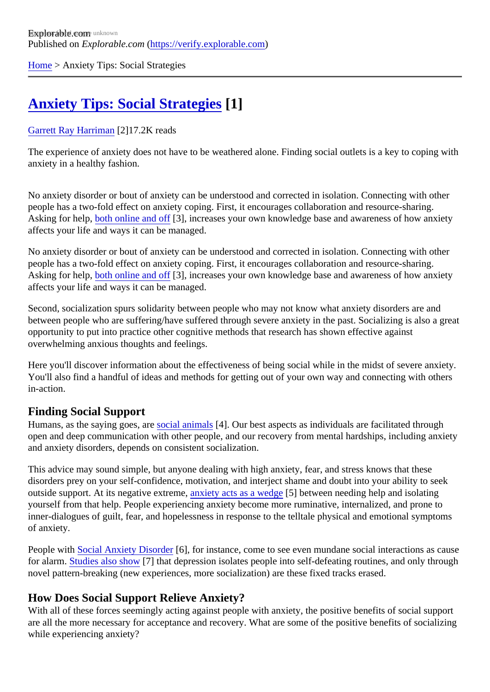[Home](https://verify.explorable.com/) > Anxiety Tips: Social Strategies

# **[Anxiety Tips: Social Strategies](https://verify.explorable.com/e/cognitive-social-strategies) 11**

## [Garrett Ray Harrima](https://verify.explorable.com/users/grharriman)<sup>[2]</sup>17.2K reads

The experience of anxiety does not have to be weathered alone. Finding social outlets is a key to coping v anxiety in a healthy fashion.

No anxiety disorder or bout of anxiety can be understood and corrected in isolation. Connecting with other people has a two-fold effect on anxiety coping. First, it encourages collaboration and resource-sharing. Asking for help[, both online and o](https://explorable.com/online-anxiety-treatment)f [3], increases your own knowledge base and awareness of how anxiety affects your life and ways it can be managed.

No anxiety disorder or bout of anxiety can be understood and corrected in isolation. Connecting with other people has a two-fold effect on anxiety coping. First, it encourages collaboration and resource-sharing. Asking for help[, both online and o](https://explorable.com/online-anxiety-treatment)f [3], increases your own knowledge base and awareness of how anxiety affects your life and ways it can be managed.

Second, socialization spurs solidarity between people who may not know what anxiety disorders are and between people who are suffering/have suffered through severe anxiety in the past. Socializing is also a g opportunity to put into practice other cognitive methods that research has shown effective against overwhelming anxious thoughts and feelings.

Here you'll discover information about the effectiveness of being social while in the midst of severe anxiety You'll also find a handful of ideas and methods for getting out of your own way and connecting with others in-action.

## Finding Social Support

Humans, as the saying goes, **aveial animal**\$4]. Our best aspects as individuals are facilitated through open and deep communication with other people, and our recovery from mental hardships, including anxiety and anxiety disorders, depends on consistent socialization.

This advice may sound simple, but anyone dealing with high anxiety, fear, and stress knows that these disorders prey on your self-confidence, motivation, and interject shame and doubt into your ability to seek outside support. At its negative extremexiety acts as a wedge between needing help and isolating yourself from that help. People experiencing anxiety become more ruminative, internalized, and prone to inner-dialogues of guilt, fear, and hopelessness in response to the telltale physical and emotional sympton of anxiety.

People wit[h Social Anxiety Disorde](https://explorable.com/social-anxiety-disorders)r<sup>6</sup>, for instance, come to see even mundane social interactions as caus for alarm[. Studies also sho](http://www.biomedcentral.com/1471-2202/16/2)w] that depression isolates people into self-defeating routines, and only through novel pattern-breaking (new experiences, more socialization) are these fixed tracks erased.

## How Does Social Support Relieve Anxiety?

With all of these forces seemingly acting against people with anxiety, the positive benefits of social support are all the more necessary for acceptance and recovery. What are some of the positive benefits of socializing while experiencing anxiety?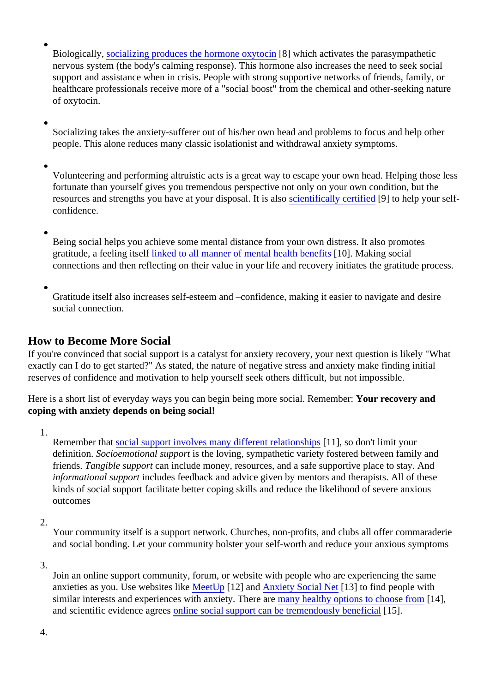- Biologically, [socializing produces the hormone oxyto](https://www.mentalhelp.net/articles/socialization-and-altruistic-acts-as-stress-relief/)<sup>8</sup> which activates the parasympathetic nervous system (the body's calming response). This hormone also increases the need to seek social support and assistance when in crisis. People with strong supportive networks of friends, family, or healthcare professionals receive more of a "social boost" from the chemical and other-seeking nature of oxytocin.
- Socializing takes the anxiety-sufferer out of his/her own head and problems to focus and help other people. This alone reduces many classic isolationist and withdrawal anxiety symptoms.
- Volunteering and performing altruistic acts is a great way to escape your own head. Helping those le fortunate than yourself gives you tremendous perspective not only on your own condition, but the resources and strengths you have at your disposal. It is also ally certified [9] to help your selfconfidence.
- Being social helps you achieve some mental distance from your own distress. It also promotes gratitude, a feeling itselinked to all manner of mental health benefited. Making social connections and then reflecting on their value in your life and recovery initiates the gratitude process.
- Gratitude itself also increases self-esteem and –confidence, making it easier to navigate and desire social connection.

# How to Become More Social

If you're convinced that social support is a catalyst for anxiety recovery, your next question is likely "What exactly can I do to get started?" As stated, the nature of negative stress and anxiety make finding initial reserves of confidence and motivation to help yourself seek others difficult, but not impossible.

Here is a short list of everyday ways you can begin being more social. Remembre ecovery and coping with anxiety depends on being social!

1.

Remember that ocial support involves many different relationships, so don't limit your definition. Socioemotional suppois the loving, sympathetic variety fostered between family and friends. Tangible supportan include money, resources, and a safe supportive place to stay. And informational supportncludes feedback and advice given by mentors and therapists. All of these kinds of social support facilitate better coping skills and reduce the likelihood of severe anxious outcomes

2.

Your community itself is a support network. Churches, non-profits, and clubs all offer commaraderie and social bonding. Let your community bolster your self-worth and reduce your anxious symptoms

3.

Join an online support community, forum, or website with people who are experiencing the same anxieties as you. Use websites IMeetUp[12] an[d Anxiety Social Ne](http://www.anxietysocialnet.com/)t<sup>[13]</sup> to find people with similar interests and experiences with anxiety. Therenare healthy options to choose from [14], and scientific evidence agreesline social support can be tremendously benefited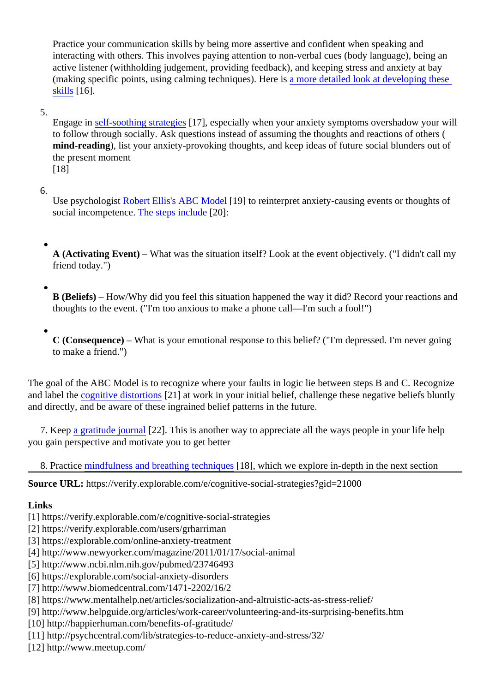Practice your communication skills by being more assertive and confident when speaking and interacting with others. This involves paying attention to non-verbal cues (body language), being an active listener (withholding judgement, providing feedback), and keeping stress and anxiety at bay (making specific points, using calming techniques). Here is detailed look at developing these [skills](http://www.helpguide.org/articles/relationships/effective-communication.htm) [16].

### 5.

Engage inself-soothing strategies 7], especially when your anxiety symptoms overshadow your will to follow through socially. Ask questions instead of assuming the thoughts and reactions of others ( mind-reading), list your anxiety-provoking thoughts, and keep ideas of future social blunders out of the present moment [18]

#### 6.

Use psychologis Robert Ellis's ABC Mode[19] to reinterpret anxiety-causing events or thoughts of social incompetenc[e. The steps includ](http://www.dartmouth.edu/~eap/abcstress2.pdf)e 20]:

A (Activating Event) – What was the situation itself? Look at the event objectively. ("I didn't call my friend today.")

B (Beliefs) – How/Why did you feel this situation happened the way it did? Record your reactions and thoughts to the event. ("I'm too anxious to make a phone call—I'm such a fool!")

C (Consequence) – What is your emotional response to this belief? ("I'm depressed. I'm never going to make a friend.")

The goal of the ABC Model is to recognize where your faults in logic lie between steps B and C. Recognize and label the ognitive distortion \$21] at work in your initial belief, challenge these negative beliefs bluntly and directly, and be aware of these ingrained belief patterns in the future.

7. Keep gratitude journa<sup>[22]</sup>. This is another way to appreciate all the ways people in your life help you gain perspective and motivate you to get better

8. Practic[e mindfulness and breathing techniq](https://explorable.com/mindfulness-breathing-exercise)ues, which we explore in-depth in the next section

Source URL: https://verify.explorable.com/e/cognitive-social-strategies?gid=21000

Links

[1] https://verify.explorable.com/e/cognitive-social-strategies

[2] https://verify.explorable.com/users/grharriman

[3] https://explorable.com/online-anxiety-treatment

[4] http://www.newyorker.com/magazine/2011/01/17/social-animal

[5] http://www.ncbi.nlm.nih.gov/pubmed/23746493

[6] https://explorable.com/social-anxiety-disorders

[7] http://www.biomedcentral.com/1471-2202/16/2

[8] https://www.mentalhelp.net/articles/socialization-and-altruistic-acts-as-stress-relief/

[9] http://www.helpguide.org/articles/work-career/volunteering-and-its-surprising-benefits.htm

[10] http://happierhuman.com/benefits-of-gratitude/

[11] http://psychcentral.com/lib/strategies-to-reduce-anxiety-and-stress/32/

[12] http://www.meetup.com/